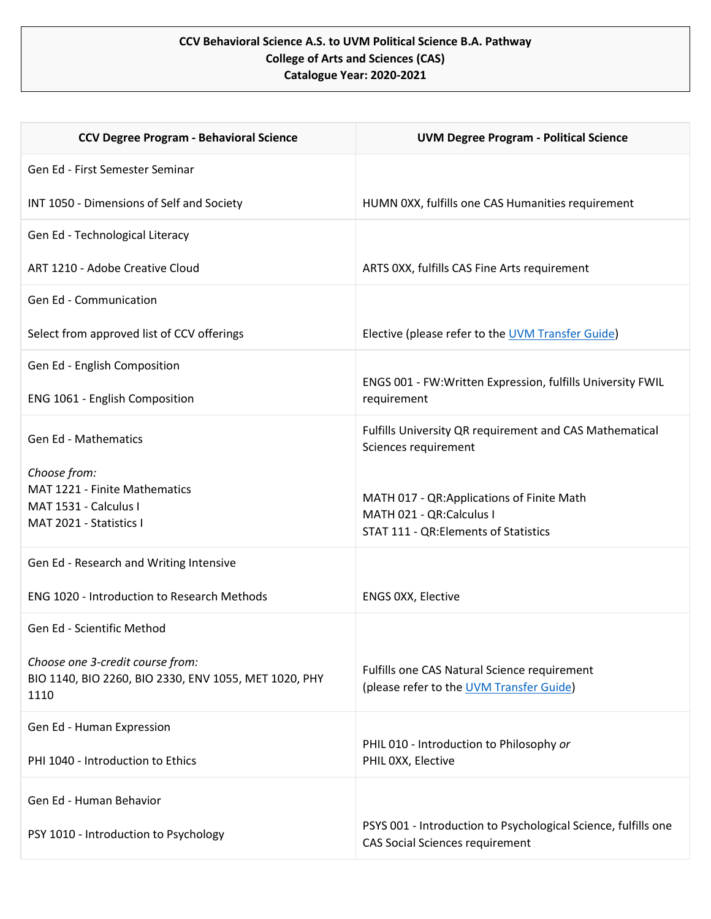## **CCV Behavioral Science A.S. to UVM Political Science B.A. Pathway College of Arts and Sciences (CAS) Catalogue Year: 2020-2021**

| <b>CCV Degree Program - Behavioral Science</b>                | <b>UVM Degree Program - Political Science</b>                                                            |
|---------------------------------------------------------------|----------------------------------------------------------------------------------------------------------|
| Gen Ed - First Semester Seminar                               |                                                                                                          |
| INT 1050 - Dimensions of Self and Society                     | HUMN 0XX, fulfills one CAS Humanities requirement                                                        |
| Gen Ed - Technological Literacy                               |                                                                                                          |
| ART 1210 - Adobe Creative Cloud                               | ARTS 0XX, fulfills CAS Fine Arts requirement                                                             |
| <b>Gen Ed - Communication</b>                                 |                                                                                                          |
| Select from approved list of CCV offerings                    | Elective (please refer to the UVM Transfer Guide)                                                        |
| Gen Ed - English Composition                                  |                                                                                                          |
| ENG 1061 - English Composition                                | ENGS 001 - FW:Written Expression, fulfills University FWIL<br>requirement                                |
| <b>Gen Ed - Mathematics</b>                                   | Fulfills University QR requirement and CAS Mathematical<br>Sciences requirement                          |
| Choose from:<br>MAT 1221 - Finite Mathematics                 |                                                                                                          |
| MAT 1531 - Calculus I                                         | MATH 017 - QR:Applications of Finite Math<br>MATH 021 - QR:Calculus I                                    |
| MAT 2021 - Statistics I                                       | STAT 111 - QR: Elements of Statistics                                                                    |
| Gen Ed - Research and Writing Intensive                       |                                                                                                          |
| <b>ENG 1020 - Introduction to Research Methods</b>            | ENGS 0XX, Elective                                                                                       |
| Gen Ed - Scientific Method                                    |                                                                                                          |
| Choose one 3-credit course from:                              | Fulfills one CAS Natural Science requirement                                                             |
| BIO 1140, BIO 2260, BIO 2330, ENV 1055, MET 1020, PHY<br>1110 | (please refer to the UVM Transfer Guide)                                                                 |
| Gen Ed - Human Expression                                     |                                                                                                          |
| PHI 1040 - Introduction to Ethics                             | PHIL 010 - Introduction to Philosophy or<br>PHIL OXX, Elective                                           |
| Gen Ed - Human Behavior                                       |                                                                                                          |
| PSY 1010 - Introduction to Psychology                         | PSYS 001 - Introduction to Psychological Science, fulfills one<br><b>CAS Social Sciences requirement</b> |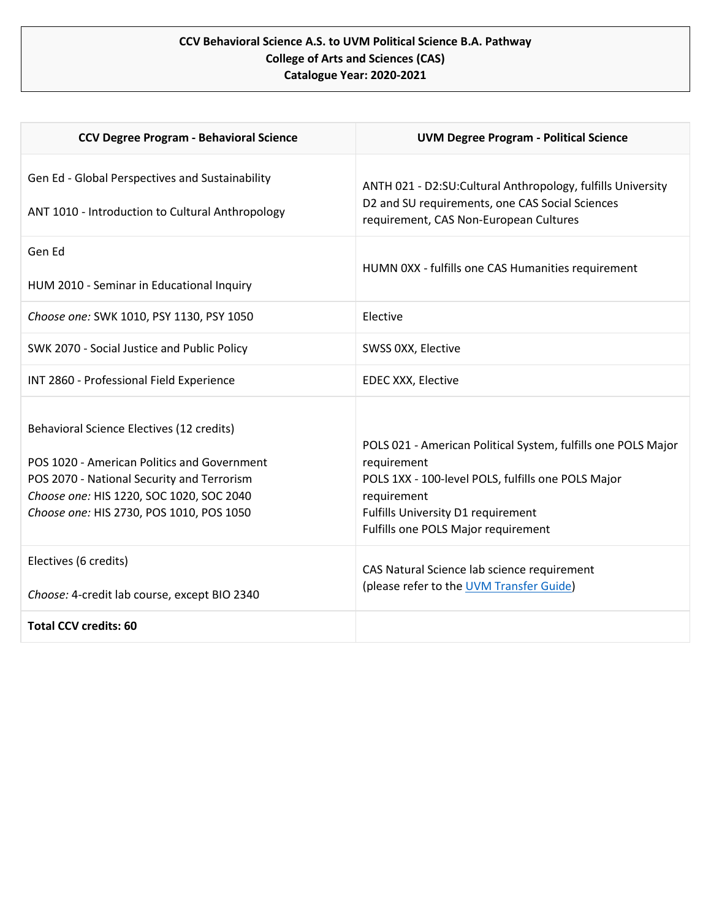## **CCV Behavioral Science A.S. to UVM Political Science B.A. Pathway College of Arts and Sciences (CAS) Catalogue Year: 2020-2021**

| <b>CCV Degree Program - Behavioral Science</b>                                                                                                                                                                                 | <b>UVM Degree Program - Political Science</b>                                                                                                                                                                                  |
|--------------------------------------------------------------------------------------------------------------------------------------------------------------------------------------------------------------------------------|--------------------------------------------------------------------------------------------------------------------------------------------------------------------------------------------------------------------------------|
| Gen Ed - Global Perspectives and Sustainability<br>ANT 1010 - Introduction to Cultural Anthropology                                                                                                                            | ANTH 021 - D2:SU:Cultural Anthropology, fulfills University<br>D2 and SU requirements, one CAS Social Sciences<br>requirement, CAS Non-European Cultures                                                                       |
| Gen Ed<br>HUM 2010 - Seminar in Educational Inquiry                                                                                                                                                                            | HUMN 0XX - fulfills one CAS Humanities requirement                                                                                                                                                                             |
| Choose one: SWK 1010, PSY 1130, PSY 1050                                                                                                                                                                                       | Elective                                                                                                                                                                                                                       |
| SWK 2070 - Social Justice and Public Policy                                                                                                                                                                                    | SWSS 0XX, Elective                                                                                                                                                                                                             |
| INT 2860 - Professional Field Experience                                                                                                                                                                                       | EDEC XXX, Elective                                                                                                                                                                                                             |
| Behavioral Science Electives (12 credits)<br>POS 1020 - American Politics and Government<br>POS 2070 - National Security and Terrorism<br>Choose one: HIS 1220, SOC 1020, SOC 2040<br>Choose one: HIS 2730, POS 1010, POS 1050 | POLS 021 - American Political System, fulfills one POLS Major<br>requirement<br>POLS 1XX - 100-level POLS, fulfills one POLS Major<br>requirement<br>Fulfills University D1 requirement<br>Fulfills one POLS Major requirement |
| Electives (6 credits)<br>Choose: 4-credit lab course, except BIO 2340                                                                                                                                                          | CAS Natural Science lab science requirement<br>(please refer to the UVM Transfer Guide)                                                                                                                                        |
| <b>Total CCV credits: 60</b>                                                                                                                                                                                                   |                                                                                                                                                                                                                                |